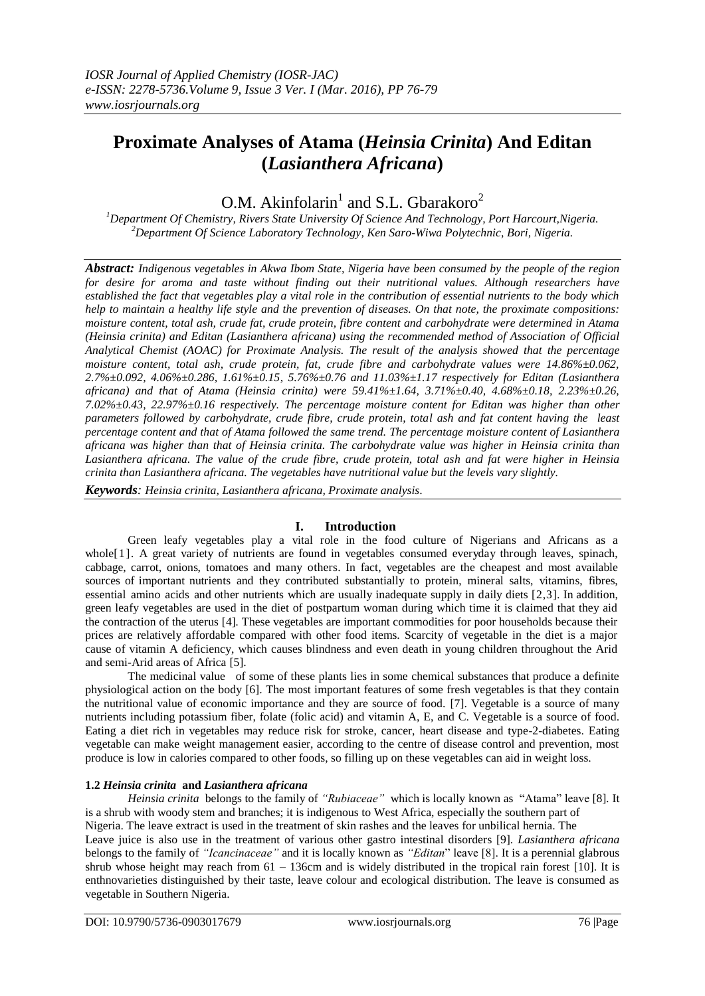# **Proximate Analyses of Atama (***Heinsia Crinita***) And Editan (***Lasianthera Africana***)**

O.M. Akinfolarin<sup>1</sup> and S.L. Gbarakoro<sup>2</sup>

*<sup>1</sup>Department Of Chemistry, Rivers State University Of Science And Technology, Port Harcourt,Nigeria. <sup>2</sup>Department Of Science Laboratory Technology, Ken Saro-Wiwa Polytechnic, Bori, Nigeria.*

*Abstract: Indigenous vegetables in Akwa Ibom State, Nigeria have been consumed by the people of the region for desire for aroma and taste without finding out their nutritional values. Although researchers have established the fact that vegetables play a vital role in the contribution of essential nutrients to the body which help to maintain a healthy life style and the prevention of diseases. On that note, the proximate compositions: moisture content, total ash, crude fat, crude protein, fibre content and carbohydrate were determined in Atama (Heinsia crinita) and Editan (Lasianthera africana) using the recommended method of Association of Official Analytical Chemist (AOAC) for Proximate Analysis. The result of the analysis showed that the percentage moisture content, total ash, crude protein, fat, crude fibre and carbohydrate values were 14.86%±0.062, 2.7%±0.092, 4.06%±0.286, 1.61%±0.15, 5.76%±0.76 and 11.03%±1.17 respectively for Editan (Lasianthera africana) and that of Atama (Heinsia crinita) were 59.41%±1.64, 3.71%±0.40, 4.68%±0.18, 2.23%±0.26, 7.02%±0.43, 22.97%±0.16 respectively. The percentage moisture content for Editan was higher than other parameters followed by carbohydrate, crude fibre, crude protein, total ash and fat content having the least percentage content and that of Atama followed the same trend. The percentage moisture content of Lasianthera africana was higher than that of Heinsia crinita. The carbohydrate value was higher in Heinsia crinita than Lasianthera africana. The value of the crude fibre, crude protein, total ash and fat were higher in Heinsia crinita than Lasianthera africana. The vegetables have nutritional value but the levels vary slightly.* 

*Keywords: Heinsia crinita, Lasianthera africana, Proximate analysis*.

## **I. Introduction**

Green leafy vegetables play a vital role in the food culture of Nigerians and Africans as a whole<sup>[1]</sup>. A great variety of nutrients are found in vegetables consumed everyday through leaves, spinach, cabbage, carrot, onions, tomatoes and many others. In fact, vegetables are the cheapest and most available sources of important nutrients and they contributed substantially to protein, mineral salts, vitamins, fibres, essential amino acids and other nutrients which are usually inadequate supply in daily diets [2,3]*.* In addition, green leafy vegetables are used in the diet of postpartum woman during which time it is claimed that they aid the contraction of the uterus [4]*.* These vegetables are important commodities for poor households because their prices are relatively affordable compared with other food items. Scarcity of vegetable in the diet is a major cause of vitamin A deficiency, which causes blindness and even death in young children throughout the Arid and semi-Arid areas of Africa [5].

The medicinal value of some of these plants lies in some chemical substances that produce a definite physiological action on the body [6]. The most important features of some fresh vegetables is that they contain the nutritional value of economic importance and they are source of food. [7]. Vegetable is a source of many nutrients including potassium fiber, folate (folic acid) and vitamin A, E, and C. Vegetable is a source of food. Eating a diet rich in vegetables may reduce risk for stroke, cancer, heart disease and type-2-diabetes. Eating vegetable can make weight management easier, according to the centre of disease control and prevention, most produce is low in calories compared to other foods, so filling up on these vegetables can aid in weight loss.

## **1.2** *Heinsia crinita* **and** *Lasianthera africana*

*Heinsia crinita* belongs to the family of *"Rubiaceae"* which is locally known as "Atama" leave [8]*.* It is a shrub with woody stem and branches; it is indigenous to West Africa, especially the southern part of Nigeria. The leave extract is used in the treatment of skin rashes and the leaves for unbilical hernia. The Leave juice is also use in the treatment of various other gastro intestinal disorders [9]. *Lasianthera africana* belongs to the family of *"Icancinaceae"* and it is locally known as *"Editan*" leave [8]. It is a perennial glabrous shrub whose height may reach from  $61 - 136$ cm and is widely distributed in the tropical rain forest [10]. It is enthnovarieties distinguished by their taste, leave colour and ecological distribution. The leave is consumed as vegetable in Southern Nigeria.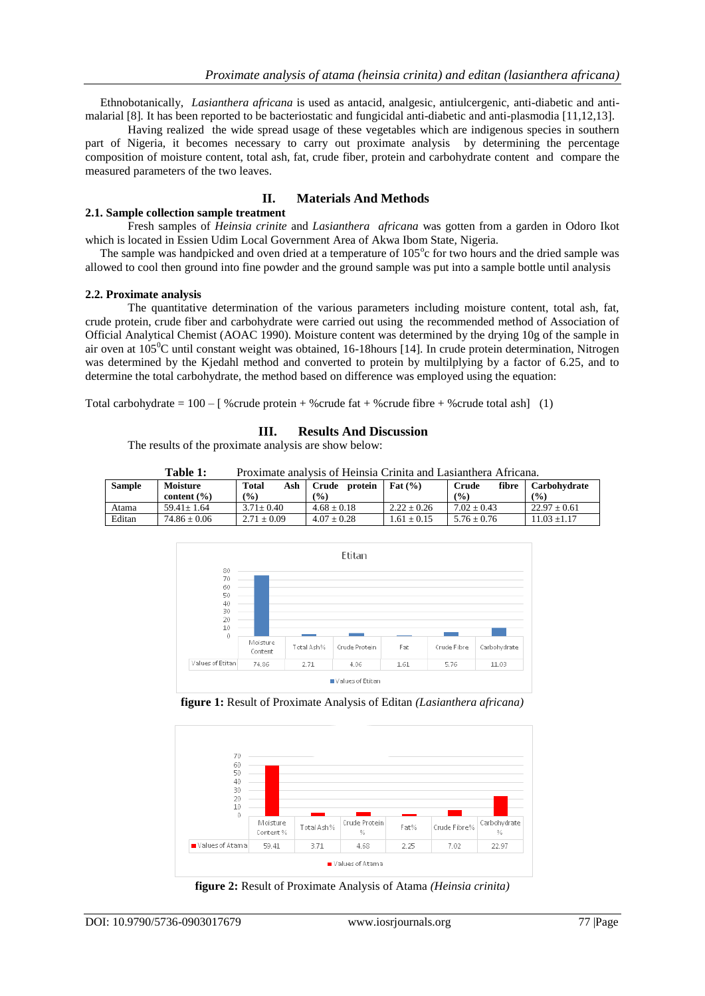Ethnobotanically, *Lasianthera africana* is used as antacid, analgesic, antiulcergenic, anti-diabetic and antimalarial [8]*.* It has been reported to be bacteriostatic and fungicidal anti-diabetic and anti-plasmodia [11,12,13].

Having realized the wide spread usage of these vegetables which are indigenous species in southern part of Nigeria, it becomes necessary to carry out proximate analysis by determining the percentage composition of moisture content, total ash, fat, crude fiber, protein and carbohydrate content and compare the measured parameters of the two leaves.

## **II. Materials And Methods**

#### **2.1. Sample collection sample treatment**

Fresh samples of *Heinsia crinite* and *Lasianthera africana* was gotten from a garden in Odoro Ikot which is located in Essien Udim Local Government Area of Akwa Ibom State, Nigeria.

The sample was handpicked and oven dried at a temperature of 105°c for two hours and the dried sample was allowed to cool then ground into fine powder and the ground sample was put into a sample bottle until analysis

#### **2.2. Proximate analysis**

The quantitative determination of the various parameters including moisture content, total ash, fat, crude protein, crude fiber and carbohydrate were carried out using the recommended method of Association of Official Analytical Chemist (AOAC 1990). Moisture content was determined by the drying 10g of the sample in air oven at  $105^{\circ}$ C until constant weight was obtained, 16-18 hours [14]. In crude protein determination, Nitrogen was determined by the Kjedahl method and converted to protein by multilplying by a factor of 6.25, and to determine the total carbohydrate, the method based on difference was employed using the equation:

Total carbohydrate =  $100 - [$  % crude protein + % crude fat + % crude fibre + % crude total ash] (1)

### **III. Results And Discussion**

The results of the proximate analysis are show below:

| <b>Table 1:</b> | Proximate analysis of Heinsia Crinita and Lasianthera Africana. |
|-----------------|-----------------------------------------------------------------|
|-----------------|-----------------------------------------------------------------|

| <b>Sample</b> | Moisture         | <b>Total</b><br>Ash | protein<br>Crude | Fat $(\% )$     | fibre<br>Crude  | Carbohvdrate     |
|---------------|------------------|---------------------|------------------|-----------------|-----------------|------------------|
|               | content $(\% )$  | (9/0)               | (9/0)            |                 | (%)             | $($ %)           |
| Atama         | $59.41 + 1.64$   | $3.71 \pm 0.40$     | $4.68 + 0.18$    | $2.22 \pm 0.26$ | $7.02 \pm 0.43$ | $22.97 \pm 0.61$ |
| Editan        | $74.86 \pm 0.06$ | $2.71 + 0.09$       | $4.07 + 0.28$    | $1.61 + 0.15$   | $5.76 + 0.76$   | $11.03 + 1.17$   |



**figure 1:** Result of Proximate Analysis of Editan *(Lasianthera africana)*



**figure 2:** Result of Proximate Analysis of Atama *(Heinsia crinita)*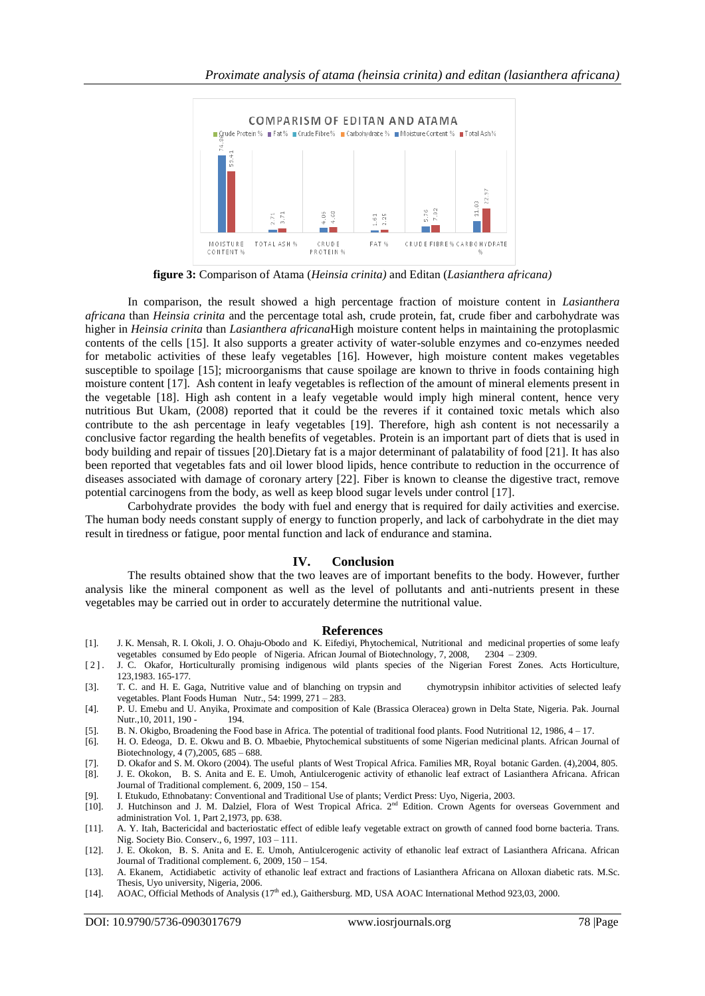

**figure 3:** Comparison of Atama (*Heinsia crinita)* and Editan (*Lasianthera africana)*

In comparison, the result showed a high percentage fraction of moisture content in *Lasianthera africana* than *Heinsia crinita* and the percentage total ash, crude protein, fat, crude fiber and carbohydrate was higher in *Heinsia crinita* than *Lasianthera africana*High moisture content helps in maintaining the protoplasmic contents of the cells [15]. It also supports a greater activity of water-soluble enzymes and co-enzymes needed for metabolic activities of these leafy vegetables [16]*.* However, high moisture content makes vegetables susceptible to spoilage [15]; microorganisms that cause spoilage are known to thrive in foods containing high moisture content [17]. Ash content in leafy vegetables is reflection of the amount of mineral elements present in the vegetable [18]. High ash content in a leafy vegetable would imply high mineral content, hence very nutritious But Ukam, (2008) reported that it could be the reveres if it contained toxic metals which also contribute to the ash percentage in leafy vegetables [19]. Therefore, high ash content is not necessarily a conclusive factor regarding the health benefits of vegetables. Protein is an important part of diets that is used in body building and repair of tissues [20].Dietary fat is a major determinant of palatability of food [21]. It has also been reported that vegetables fats and oil lower blood lipids, hence contribute to reduction in the occurrence of diseases associated with damage of coronary artery [22]. Fiber is known to cleanse the digestive tract, remove potential carcinogens from the body, as well as keep blood sugar levels under control [17].

Carbohydrate provides the body with fuel and energy that is required for daily activities and exercise. The human body needs constant supply of energy to function properly, and lack of carbohydrate in the diet may result in tiredness or fatigue, poor mental function and lack of endurance and stamina.

#### **IV. Conclusion**

The results obtained show that the two leaves are of important benefits to the body. However, further analysis like the mineral component as well as the level of pollutants and anti-nutrients present in these vegetables may be carried out in order to accurately determine the nutritional value.

#### **References**

- [1]. J. K. Mensah, R. I. Okoli, J. O. Ohaju-Obodo and K. Eifediyi, Phytochemical, Nutritional and medicinal properties of some leafy vegetables consumed by Edo people of Nigeria. African Journal of Biotechnology, 7, 2008, 2304 – 2309.
- [2]. J. C. Okafor, Horticulturally promising indigenous wild plants species of the Nigerian Forest Zones. Acts Horticulture, 123,1983. 165-177.
- [3]. T. C. and H. E. Gaga, Nutritive value and of blanching on trypsin and chymotrypsin inhibitor activities of selected leafy vegetables. Plant Foods Human Nutr., 54: 1999, 271 – 283.
- [4]. P. U. Emebu and U. Anyika, Proximate and composition of Kale (Brassica Oleracea) grown in Delta State, Nigeria. Pak. Journal Nutr., 10, 2011, 190 -
- [5]. B. N. Okigbo, Broadening the Food base in Africa. The potential of traditional food plants. Food Nutritional 12, 1986, 4 17.
- [6]. H. O. Edeoga, D. E. Okwu and B. O. Mbaebie, Phytochemical substituents of some Nigerian medicinal plants. African Journal of Biotechnology, 4 (7),2005, 685 – 688.
- [7]. D. Okafor and S. M. Okoro (2004). The useful plants of West Tropical Africa. Families MR, Royal botanic Garden. (4),2004, 805.
- [8]. J. E. Okokon, B. S. Anita and E. E. Umoh, Antiulcerogenic activity of ethanolic leaf extract of Lasianthera Africana. African Journal of Traditional complement. 6, 2009, 150 – 154.
- [9]. I. Etukudo, Ethnobatany: Conventional and Traditional Use of plants; Verdict Press: Uyo, Nigeria, 2003. [10]. J. Hutchinson and J. M. Dalziel, Flora of West Tropical Africa. 2<sup>nd</sup> Edition. Crown Agents for
- J. Hutchinson and J. M. Dalziel, Flora of West Tropical Africa. 2<sup>nd</sup> Edition. Crown Agents for overseas Government and administration Vol. 1, Part 2,1973, pp. 638.
- [11]. A. Y. Itah, Bactericidal and bacteriostatic effect of edible leafy vegetable extract on growth of canned food borne bacteria. Trans. Nig. Society Bio. Conserv., 6, 1997, 103 – 111.
- [12]. J. E. Okokon, B. S. Anita and E. E. Umoh, Antiulcerogenic activity of ethanolic leaf extract of Lasianthera Africana. African Journal of Traditional complement. 6, 2009, 150 – 154.
- [13]. A. Ekanem, Actidiabetic activity of ethanolic leaf extract and fractions of Lasianthera Africana on Alloxan diabetic rats. M.Sc. Thesis, Uyo university, Nigeria, 2006.
- [14]. AOAC, Official Methods of Analysis  $(17<sup>th</sup>$  ed.), Gaithersburg. MD, USA AOAC International Method 923.03, 2000.